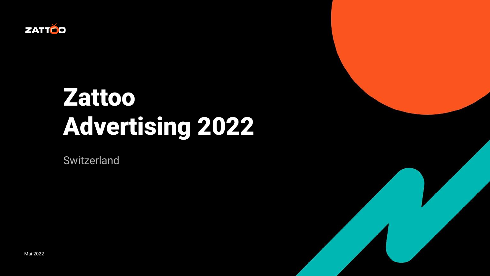

# Zattoo Advertising 2022

Switzerland

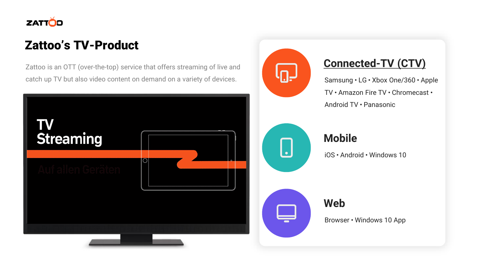

### Zattoo's TV-Product

Zattoo is an OTT (over-the-top) service that offers streaming of live and catch up TV but also video content on demand on a variety of devices.





 $\lfloor . \rfloor$ 

#### **Connected-TV (CTV)**

Samsung • LG • Xbox One/360 • Apple TV • Amazon Fire TV • Chromecast • Android TV · Panasonic

#### **Mobile**

iOS ᛫ Android ᛫ Windows 10

**Web**

Browser • Windows 10 App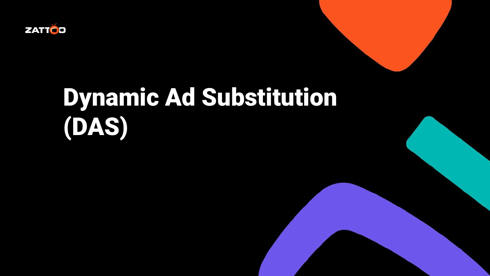

# Dynamic Ad Substitution (DAS)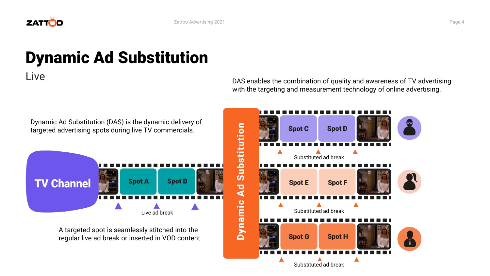

## Dynamic Ad Substitution

Live

Dynamic Ad Substitution (DAS) is the dynamic delivery of targeted advertising spots during live TV commercials. **TV Channel Spot A Spot B** Live ad break

> A targeted spot is seamlessly stitched into the regular live ad break or inserted in VOD content.

DAS enables the combination of quality and awareness of TV advertising with the targeting and measurement technology of online advertising.

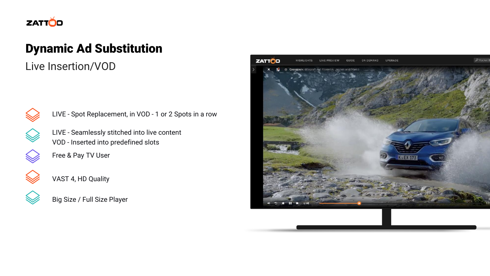

#### Dynamic Ad Substitution

Live Insertion/VOD



LIVE - Spot Replacement, in VOD - 1 or 2 Spots in a row

LIVE - Seamlessly stitched into live content VOD - Inserted into predefined slots



Free & Pay TV User



VAST 4, HD Quality



Big Size / Full Size Player

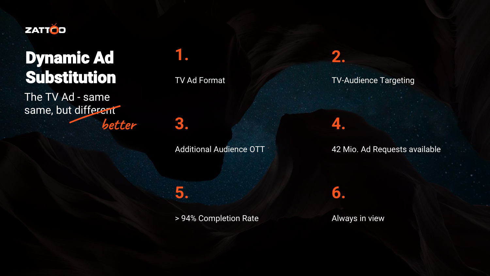

### Dynamic Ad Substitution

The TV Ad - same same, but different **better** **1.**

TV Ad Format

**3.**

Additional Audience OTT

TV-Audience Targeting

**2.**

**4.**

**6.**

42 Mio. Ad Requests available

**5.**

> 94% Completion Rate Always in view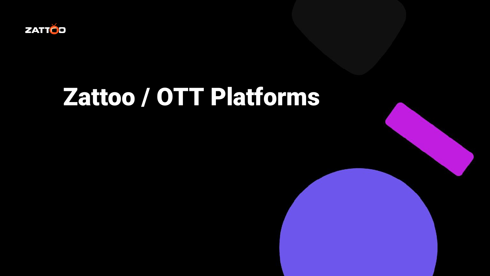

# Zattoo / OTT Platforms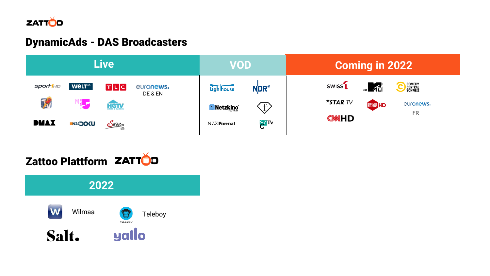

#### DynamicAds - DAS Broadcasters



Zattoo Plattform ZATTOD

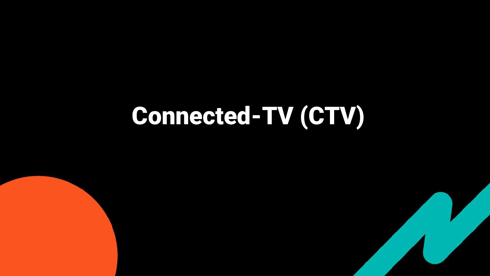# **Connected-TV (CTV)**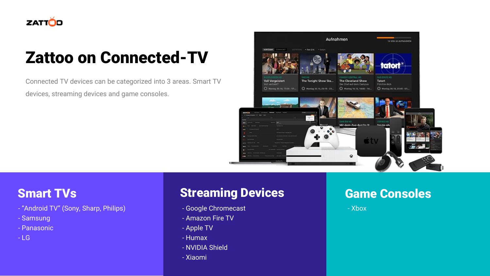

## Zattoo on Connected-TV

Connected TV devices can be categorized into 3 areas. Smart TV devices, streaming devices and game consoles.



- "Android TV" (Sony, Sharp, Philips)
- Samsung
- Panasonic
- $-1$  G

### **Smart TVs Streaming Devices Consoles Consoles**

- Google Chromecast
- Amazon Fire TV
- Apple TV
- Humax
- NVIDIA Shield
- Xiaomi

- Xbox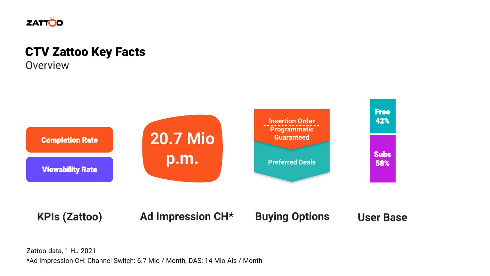

### CTV Zattoo Key Facts

**Overview** 



Zattoo data, 1 HJ 2021 \*Ad Impression CH: Channel Switch: 6.7 Mio / Month, DAS: 14 Mio Ais / Month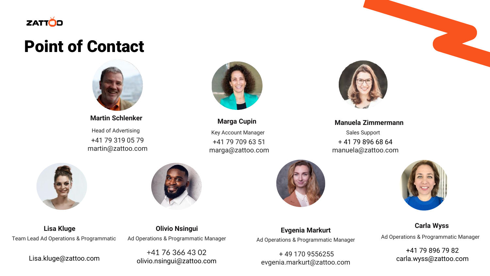

### Point of Contact



**Martin Schlenker** Head of Advertising +41 79 319 05 79 martin@zattoo.com



**Marga Cupin** Key Account Manager +41 79 709 63 51 marga@zattoo.com





**Lisa Kluge** Team Lead Ad Operations & Programmatic

Lisa.kluge@zattoo.com

**Olivio Nsingui** Ad Operations & Programmatic Manager

+41 76 366 43 02 olivio.nsingui@zattoo.com



**Manuela Zimmermann** Sales Support + 41 79 896 68 64 manuela@zattoo.com



**Evgenia Markurt** Ad Operations & Programmatic Manager

+ 49 170 9556255 evgenia.markurt@zattoo.com



**Carla Wyss**

Ad Operations & Programmatic Manager

+41 79 896 79 82 carla.wyss@zattoo.com